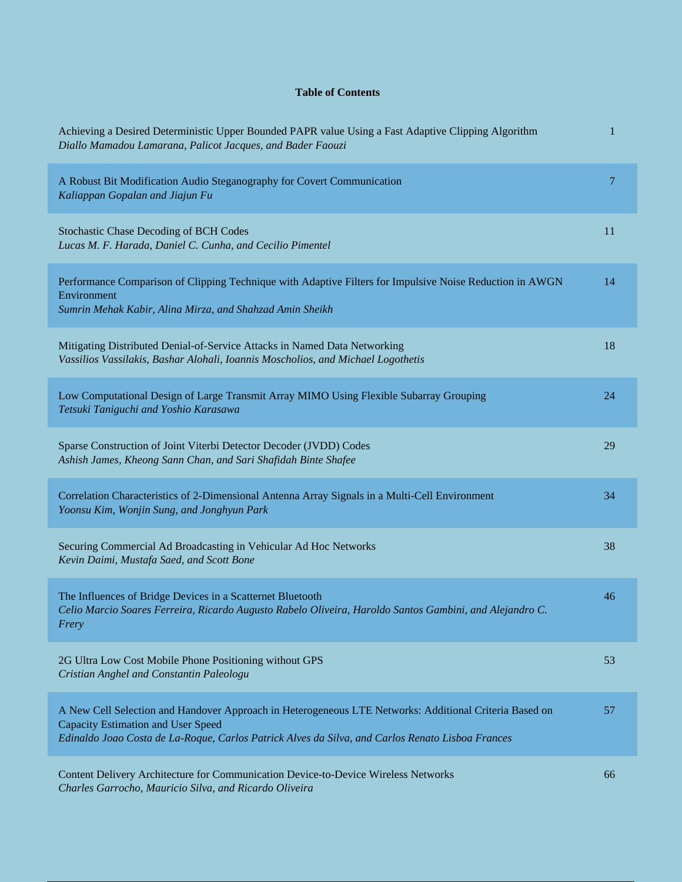## **Table of Contents**

| Achieving a Desired Deterministic Upper Bounded PAPR value Using a Fast Adaptive Clipping Algorithm<br>Diallo Mamadou Lamarana, Palicot Jacques, and Bader Faouzi                                                                                       | 1  |
|---------------------------------------------------------------------------------------------------------------------------------------------------------------------------------------------------------------------------------------------------------|----|
| A Robust Bit Modification Audio Steganography for Covert Communication<br>Kaliappan Gopalan and Jiajun Fu                                                                                                                                               | 7  |
| <b>Stochastic Chase Decoding of BCH Codes</b><br>Lucas M. F. Harada, Daniel C. Cunha, and Cecilio Pimentel                                                                                                                                              | 11 |
| Performance Comparison of Clipping Technique with Adaptive Filters for Impulsive Noise Reduction in AWGN<br>Environment<br>Sumrin Mehak Kabir, Alina Mirza, and Shahzad Amin Sheikh                                                                     | 14 |
| Mitigating Distributed Denial-of-Service Attacks in Named Data Networking<br>Vassilios Vassilakis, Bashar Alohali, Ioannis Moscholios, and Michael Logothetis                                                                                           | 18 |
| Low Computational Design of Large Transmit Array MIMO Using Flexible Subarray Grouping<br>Tetsuki Taniguchi and Yoshio Karasawa                                                                                                                         | 24 |
| Sparse Construction of Joint Viterbi Detector Decoder (JVDD) Codes<br>Ashish James, Kheong Sann Chan, and Sari Shafidah Binte Shafee                                                                                                                    | 29 |
| Correlation Characteristics of 2-Dimensional Antenna Array Signals in a Multi-Cell Environment<br>Yoonsu Kim, Wonjin Sung, and Jonghyun Park                                                                                                            | 34 |
| Securing Commercial Ad Broadcasting in Vehicular Ad Hoc Networks<br>Kevin Daimi, Mustafa Saed, and Scott Bone                                                                                                                                           | 38 |
| The Influences of Bridge Devices in a Scatternet Bluetooth<br>Celio Marcio Soares Ferreira, Ricardo Augusto Rabelo Oliveira, Haroldo Santos Gambini, and Alejandro C.<br>Frery                                                                          | 46 |
| 2G Ultra Low Cost Mobile Phone Positioning without GPS<br>Cristian Anghel and Constantin Paleologu                                                                                                                                                      | 53 |
| A New Cell Selection and Handover Approach in Heterogeneous LTE Networks: Additional Criteria Based on<br><b>Capacity Estimation and User Speed</b><br>Edinaldo Joao Costa de La-Roque, Carlos Patrick Alves da Silva, and Carlos Renato Lisboa Frances | 57 |
| Content Delivery Architecture for Communication Device-to-Device Wireless Networks                                                                                                                                                                      | 66 |

*Charles Garrocho, Mauricio Silva, and Ricardo Oliveira*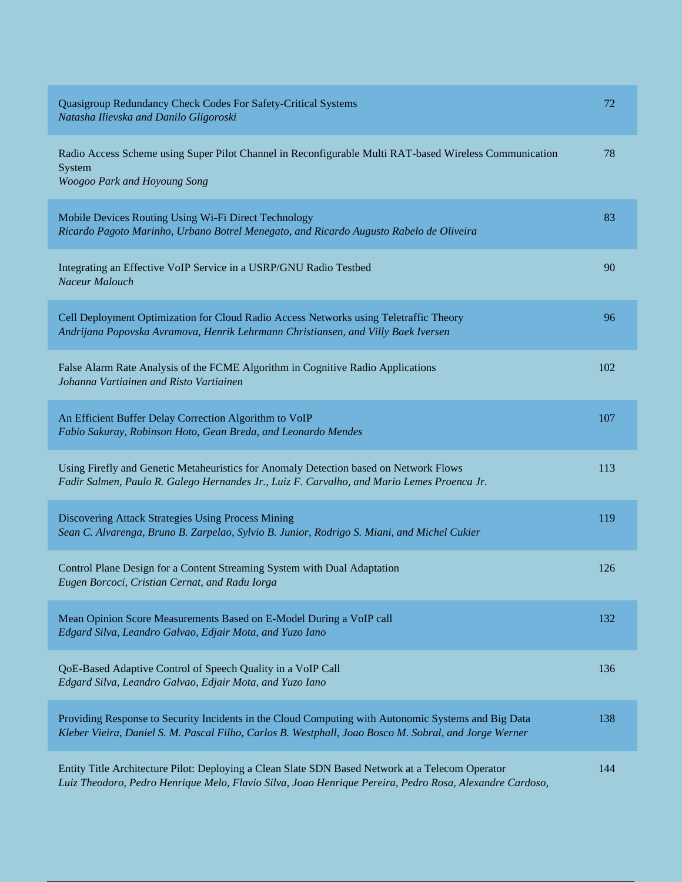| Quasigroup Redundancy Check Codes For Safety-Critical Systems<br>Natasha Ilievska and Danilo Gligoroski                                                                                                      | 72  |
|--------------------------------------------------------------------------------------------------------------------------------------------------------------------------------------------------------------|-----|
| Radio Access Scheme using Super Pilot Channel in Reconfigurable Multi RAT-based Wireless Communication<br>System<br>Woogoo Park and Hoyoung Song                                                             | 78  |
| Mobile Devices Routing Using Wi-Fi Direct Technology<br>Ricardo Pagoto Marinho, Urbano Botrel Menegato, and Ricardo Augusto Rabelo de Oliveira                                                               | 83  |
| Integrating an Effective VoIP Service in a USRP/GNU Radio Testbed<br>Naceur Malouch                                                                                                                          | 90  |
| Cell Deployment Optimization for Cloud Radio Access Networks using Teletraffic Theory<br>Andrijana Popovska Avramova, Henrik Lehrmann Christiansen, and Villy Baek Iversen                                   | 96  |
| False Alarm Rate Analysis of the FCME Algorithm in Cognitive Radio Applications<br>Johanna Vartiainen and Risto Vartiainen                                                                                   | 102 |
| An Efficient Buffer Delay Correction Algorithm to VoIP<br>Fabio Sakuray, Robinson Hoto, Gean Breda, and Leonardo Mendes                                                                                      | 107 |
| Using Firefly and Genetic Metaheuristics for Anomaly Detection based on Network Flows<br>Fadir Salmen, Paulo R. Galego Hernandes Jr., Luiz F. Carvalho, and Mario Lemes Proenca Jr.                          | 113 |
| Discovering Attack Strategies Using Process Mining<br>Sean C. Alvarenga, Bruno B. Zarpelao, Sylvio B. Junior, Rodrigo S. Miani, and Michel Cukier                                                            | 119 |
| Control Plane Design for a Content Streaming System with Dual Adaptation<br>Eugen Borcoci, Cristian Cernat, and Radu Iorga                                                                                   | 126 |
| Mean Opinion Score Measurements Based on E-Model During a VoIP call<br>Edgard Silva, Leandro Galvao, Edjair Mota, and Yuzo Iano                                                                              | 132 |
| QoE-Based Adaptive Control of Speech Quality in a VoIP Call<br>Edgard Silva, Leandro Galvao, Edjair Mota, and Yuzo Iano                                                                                      | 136 |
| Providing Response to Security Incidents in the Cloud Computing with Autonomic Systems and Big Data<br>Kleber Vieira, Daniel S. M. Pascal Filho, Carlos B. Westphall, Joao Bosco M. Sobral, and Jorge Werner | 138 |
| Entity Title Architecture Pilot: Deploying a Clean Slate SDN Based Network at a Telecom Operator<br>Luiz Theodoro, Pedro Henrique Melo, Flavio Silva, Joao Henrique Pereira, Pedro Rosa, Alexandre Cardoso,  | 144 |